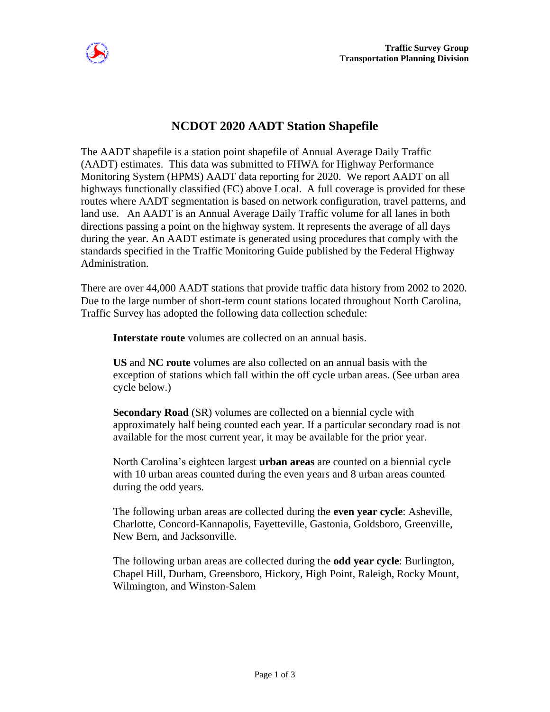

## **NCDOT 2020 AADT Station Shapefile**

The AADT shapefile is a station point shapefile of Annual Average Daily Traffic (AADT) estimates. This data was submitted to FHWA for Highway Performance Monitoring System (HPMS) AADT data reporting for 2020. We report AADT on all highways functionally classified (FC) above Local. A full coverage is provided for these routes where AADT segmentation is based on network configuration, travel patterns, and land use. An AADT is an Annual Average Daily Traffic volume for all lanes in both directions passing a point on the highway system. It represents the average of all days during the year. An AADT estimate is generated using procedures that comply with the standards specified in the Traffic Monitoring Guide published by the Federal Highway Administration.

There are over 44,000 AADT stations that provide traffic data history from 2002 to 2020. Due to the large number of short-term count stations located throughout North Carolina, Traffic Survey has adopted the following data collection schedule:

**Interstate route** volumes are collected on an annual basis.

**US** and **NC route** volumes are also collected on an annual basis with the exception of stations which fall within the off cycle urban areas. (See urban area cycle below.)

**Secondary Road** (SR) volumes are collected on a biennial cycle with approximately half being counted each year. If a particular secondary road is not available for the most current year, it may be available for the prior year.

North Carolina's eighteen largest **urban areas** are counted on a biennial cycle with 10 urban areas counted during the even years and 8 urban areas counted during the odd years.

The following urban areas are collected during the **even year cycle**: Asheville, Charlotte, Concord-Kannapolis, Fayetteville, Gastonia, Goldsboro, Greenville, New Bern, and Jacksonville.

The following urban areas are collected during the **odd year cycle**: Burlington, Chapel Hill, Durham, Greensboro, Hickory, High Point, Raleigh, Rocky Mount, Wilmington, and Winston-Salem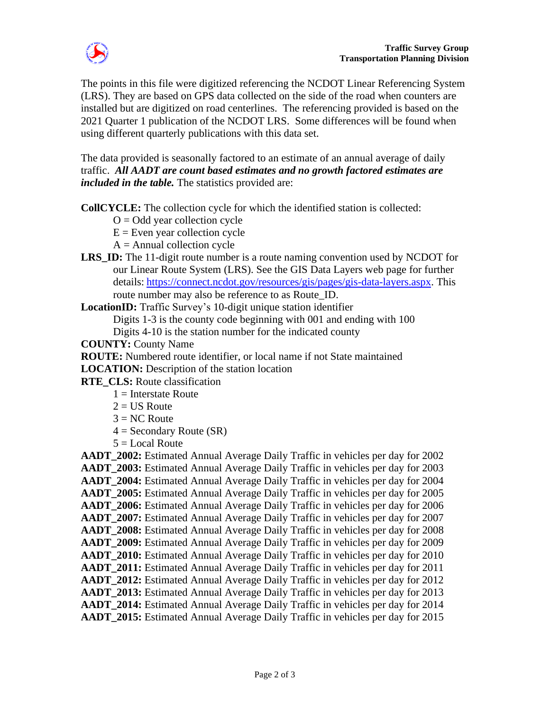

The points in this file were digitized referencing the NCDOT Linear Referencing System (LRS). They are based on GPS data collected on the side of the road when counters are installed but are digitized on road centerlines. The referencing provided is based on the 2021 Quarter 1 publication of the NCDOT LRS. Some differences will be found when using different quarterly publications with this data set.

The data provided is seasonally factored to an estimate of an annual average of daily traffic. *All AADT are count based estimates and no growth factored estimates are included in the table.* The statistics provided are:

**CollCYCLE:** The collection cycle for which the identified station is collected:

- $O = Odd$  year collection cycle
- $E =$  Even year collection cycle
- $A =$  Annual collection cycle
- **LRS** ID: The 11-digit route number is a route naming convention used by NCDOT for our Linear Route System (LRS). See the GIS Data Layers web page for further details: [https://connect.ncdot.gov/resources/gis/pages/gis-data-layers.aspx.](https://connect.ncdot.gov/resources/gis/pages/gis-data-layers.aspx) This route number may also be reference to as Route ID.

**LocationID:** Traffic Survey's 10-digit unique station identifier

Digits 1-3 is the county code beginning with 001 and ending with 100

Digits 4-10 is the station number for the indicated county

**COUNTY:** County Name

**ROUTE:** Numbered route identifier, or local name if not State maintained

**LOCATION:** Description of the station location

- **RTE\_CLS:** Route classification
	- $1 =$ Interstate Route
	- $2 =$  US Route
	- $3 = NC$  Route
	- $4 =$  Secondary Route (SR)
	- $5 =$ Local Route

**AADT\_2002:** Estimated Annual Average Daily Traffic in vehicles per day for 2002 **AADT** 2003: Estimated Annual Average Daily Traffic in vehicles per day for 2003 **AADT\_2004:** Estimated Annual Average Daily Traffic in vehicles per day for 2004 **AADT\_2005:** Estimated Annual Average Daily Traffic in vehicles per day for 2005 **AADT** 2006: Estimated Annual Average Daily Traffic in vehicles per day for 2006 **AADT\_2007:** Estimated Annual Average Daily Traffic in vehicles per day for 2007 **AADT\_2008:** Estimated Annual Average Daily Traffic in vehicles per day for 2008 **AADT\_2009:** Estimated Annual Average Daily Traffic in vehicles per day for 2009 **AADT\_2010:** Estimated Annual Average Daily Traffic in vehicles per day for 2010 **AADT\_2011:** Estimated Annual Average Daily Traffic in vehicles per day for 2011 **AADT\_2012:** Estimated Annual Average Daily Traffic in vehicles per day for 2012 **AADT** 2013: Estimated Annual Average Daily Traffic in vehicles per day for 2013 **AADT\_2014:** Estimated Annual Average Daily Traffic in vehicles per day for 2014 **AADT\_2015:** Estimated Annual Average Daily Traffic in vehicles per day for 2015